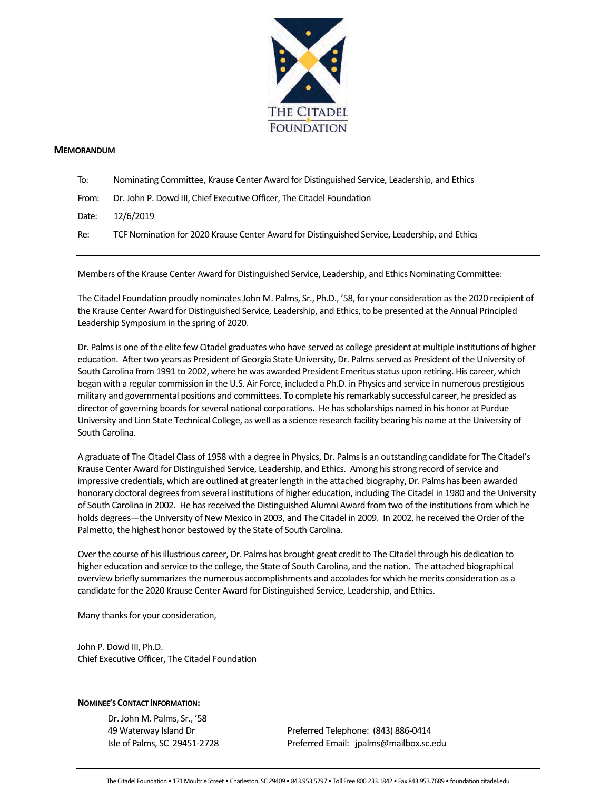

#### **MEMORANDUM**

- To: Nominating Committee, Krause Center Award for Distinguished Service, Leadership, and Ethics
- From: Dr. John P. Dowd III, Chief Executive Officer, The Citadel Foundation

Date: 12/6/2019

Re: TCF Nomination for 2020 Krause Center Award for Distinguished Service, Leadership, and Ethics

Members of the Krause Center Award for Distinguished Service, Leadership, and Ethics Nominating Committee:

The Citadel Foundation proudly nominates John M. Palms, Sr., Ph.D., '58, for your consideration as the 2020 recipient of the Krause Center Award for Distinguished Service, Leadership, and Ethics, to be presented at the Annual Principled Leadership Symposium in the spring of 2020.

Dr. Palms is one of the elite few Citadel graduates who have served as college president at multiple institutions of higher education. After two years as President of Georgia State University, Dr. Palms served as President of the University of South Carolina from 1991 to 2002, where he was awarded President Emeritus status upon retiring. His career, which began with a regular commission in the U.S. Air Force, included a Ph.D. in Physics and service in numerous prestigious military and governmental positions and committees. To complete his remarkably successful career, he presided as director of governing boards for several national corporations. He has scholarships named in his honor at Purdue University and Linn State Technical College, as well as a science research facility bearing his name at the University of South Carolina.

A graduate of The Citadel Class of 1958 with a degree in Physics, Dr. Palms is an outstanding candidate for The Citadel's Krause Center Award for Distinguished Service, Leadership, and Ethics. Among his strong record of service and impressive credentials, which are outlined at greater length in the attached biography, Dr. Palms has been awarded honorary doctoral degrees from several institutions of higher education, including The Citadel in 1980 and the University of South Carolina in 2002. He has received the Distinguished Alumni Award from two of the institutions from which he holds degrees—the University of New Mexico in 2003, and The Citadel in 2009. In 2002, he received the Order of the Palmetto, the highest honor bestowed by the State of South Carolina.

Over the course of his illustrious career, Dr. Palms has brought great credit to The Citadel through his dedication to higher education and service to the college, the State of South Carolina, and the nation. The attached biographical overview briefly summarizes the numerous accomplishments and accolades for which he merits consideration as a candidate for the 2020 Krause Center Award for Distinguished Service, Leadership, and Ethics.

Many thanks for your consideration,

John P. Dowd III, Ph.D. Chief Executive Officer, The Citadel Foundation

### **NOMINEE'S CONTACT INFORMATION:**

Dr. John M. Palms, Sr., '58

49 Waterway Island Dr Preferred Telephone: (843) 886-0414 Isle of Palms, SC 29451-2728 Preferred Email: jpalms@mailbox.sc.edu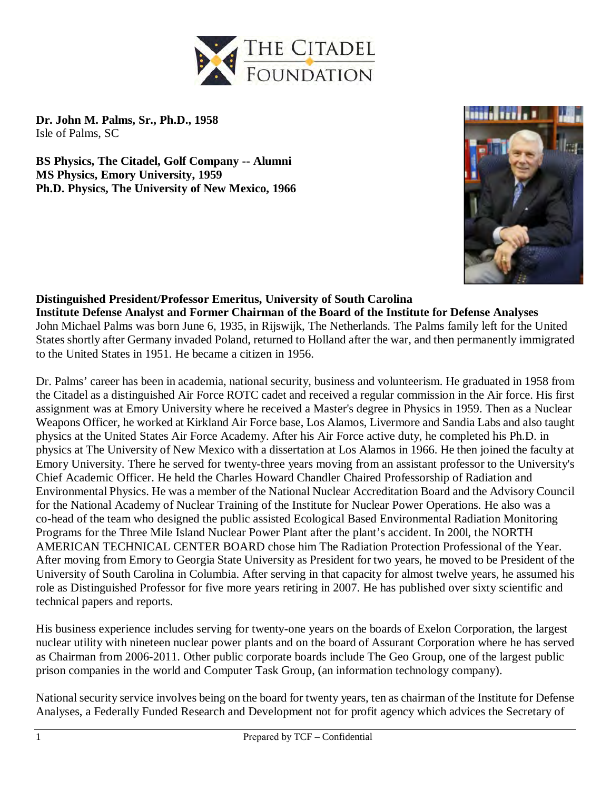

**Dr. John M. Palms, Sr., Ph.D., 1958**  Isle of Palms, SC

**BS Physics, The Citadel, Golf Company -- Alumni MS Physics, Emory University, 1959 Ph.D. Physics, The University of New Mexico, 1966**



## **Distinguished President/Professor Emeritus, University of South Carolina**

**Institute Defense Analyst and Former Chairman of the Board of the Institute for Defense Analyses** John Michael Palms was born June 6, 1935, in Rijswijk, The Netherlands. The Palms family left for the United States shortly after Germany invaded Poland, returned to Holland after the war, and then permanently immigrated to the United States in 1951. He became a citizen in 1956.

Dr. Palms' career has been in academia, national security, business and volunteerism. He graduated in 1958 from the Citadel as a distinguished Air Force ROTC cadet and received a regular commission in the Air force. His first assignment was at Emory University where he received a Master's degree in Physics in 1959. Then as a Nuclear Weapons Officer, he worked at Kirkland Air Force base, Los Alamos, Livermore and Sandia Labs and also taught physics at the United States Air Force Academy. After his Air Force active duty, he completed his Ph.D. in physics at The University of New Mexico with a dissertation at Los Alamos in 1966. He then joined the faculty at Emory University. There he served for twenty-three years moving from an assistant professor to the University's Chief Academic Officer. He held the Charles Howard Chandler Chaired Professorship of Radiation and Environmental Physics. He was a member of the National Nuclear Accreditation Board and the Advisory Council for the National Academy of Nuclear Training of the Institute for Nuclear Power Operations. He also was a co-head of the team who designed the public assisted Ecological Based Environmental Radiation Monitoring Programs for the Three Mile Island Nuclear Power Plant after the plant's accident. In 200l, the NORTH AMERICAN TECHNICAL CENTER BOARD chose him The Radiation Protection Professional of the Year. After moving from Emory to Georgia State University as President for two years, he moved to be President of the University of South Carolina in Columbia. After serving in that capacity for almost twelve years, he assumed his role as Distinguished Professor for five more years retiring in 2007. He has published over sixty scientific and technical papers and reports.

His business experience includes serving for twenty-one years on the boards of Exelon Corporation, the largest nuclear utility with nineteen nuclear power plants and on the board of Assurant Corporation where he has served as Chairman from 2006-2011. Other public corporate boards include The Geo Group, one of the largest public prison companies in the world and Computer Task Group, (an information technology company).

National security service involves being on the board for twenty years, ten as chairman of the Institute for Defense Analyses, a Federally Funded Research and Development not for profit agency which advices the Secretary of